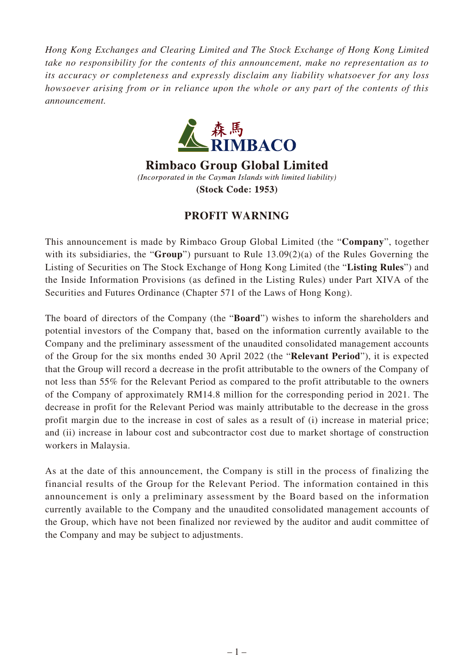*Hong Kong Exchanges and Clearing Limited and The Stock Exchange of Hong Kong Limited take no responsibility for the contents of this announcement, make no representation as to its accuracy or completeness and expressly disclaim any liability whatsoever for any loss howsoever arising from or in reliance upon the whole or any part of the contents of this announcement.*



**Rimbaco Group Global Limited** (Incorporated in the Cayman Islands with limited liability) (Stock Code: 1953)

## **PROFIT WARNING**

This announcement is made by Rimbaco Group Global Limited (the "**Company**", together with its subsidiaries, the "**Group**") pursuant to Rule 13.09(2)(a) of the Rules Governing the Listing of Securities on The Stock Exchange of Hong Kong Limited (the "**Listing Rules**") and the Inside Information Provisions (as defined in the Listing Rules) under Part XIVA of the Securities and Futures Ordinance (Chapter 571 of the Laws of Hong Kong).

The board of directors of the Company (the "**Board**") wishes to inform the shareholders and potential investors of the Company that, based on the information currently available to the Company and the preliminary assessment of the unaudited consolidated management accounts of the Group for the six months ended 30 April 2022 (the "**Relevant Period**"), it is expected that the Group will record a decrease in the profit attributable to the owners of the Company of not less than 55% for the Relevant Period as compared to the profit attributable to the owners of the Company of approximately RM14.8 million for the corresponding period in 2021. The decrease in profit for the Relevant Period was mainly attributable to the decrease in the gross profit margin due to the increase in cost of sales as a result of (i) increase in material price; and (ii) increase in labour cost and subcontractor cost due to market shortage of construction workers in Malaysia.

As at the date of this announcement, the Company is still in the process of finalizing the financial results of the Group for the Relevant Period. The information contained in this announcement is only a preliminary assessment by the Board based on the information currently available to the Company and the unaudited consolidated management accounts of the Group, which have not been finalized nor reviewed by the auditor and audit committee of the Company and may be subject to adjustments.